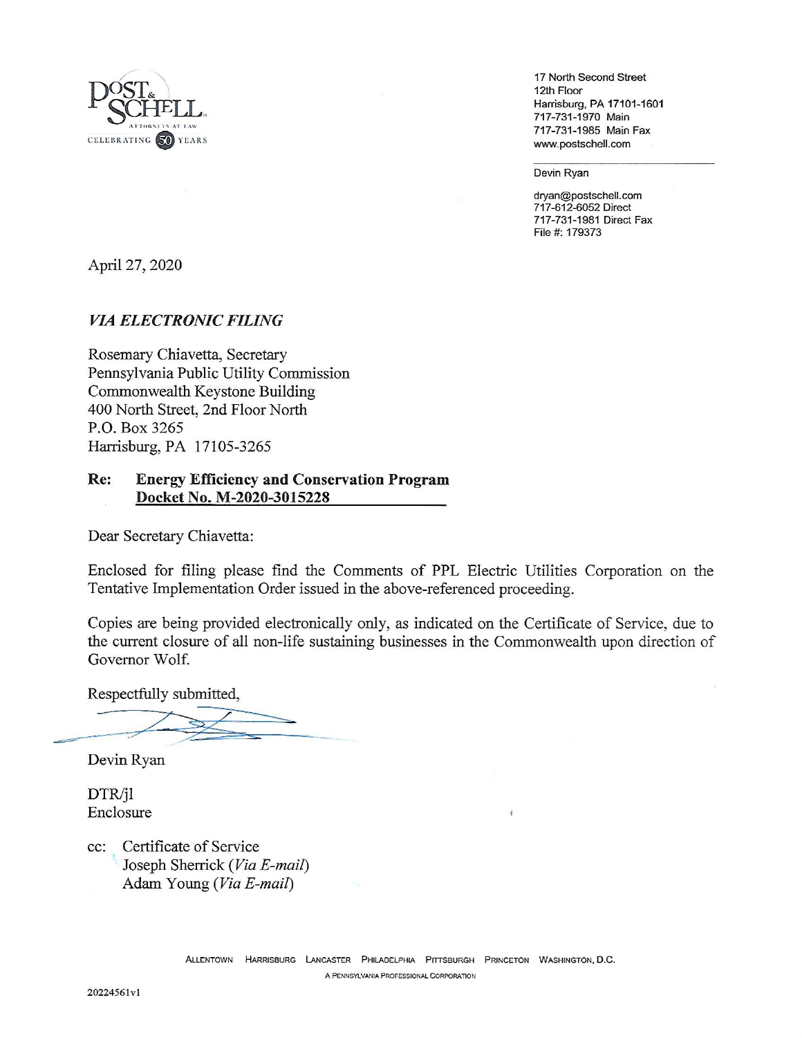

17 North Second Street 12th Floor Harrisburg, PA 17101-1601 717-731-1970 Main 717-731-1985 Main Fax www.postschell.com

Devin Ryan

dryan@postschell.com 717-612-6052 Direct 717-731-1981 Direct Fax File #: 179373

April 27, 2020

# **VIA ELECTRONIC FILING**

Rosemary Chiavetta, Secretary Pennsylvania Public Utility Commission Commonwealth Keystone Building 400 North Street, 2nd Floor North P.O. Box 3265 Harrisburg, PA 17105-3265

#### Re: **Energy Efficiency and Conservation Program** Docket No. M-2020-3015228

Dear Secretary Chiavetta:

Enclosed for filing please find the Comments of PPL Electric Utilities Corporation on the Tentative Implementation Order issued in the above-referenced proceeding.

Copies are being provided electronically only, as indicated on the Certificate of Service, due to the current closure of all non-life sustaining businesses in the Commonwealth upon direction of Governor Wolf.

Respectfully submitted,

Devin Ryan

DTR/jl Enclosure

Certificate of Service  $cc$ : Joseph Sherrick (Via E-mail) Adam Young (Via E-mail)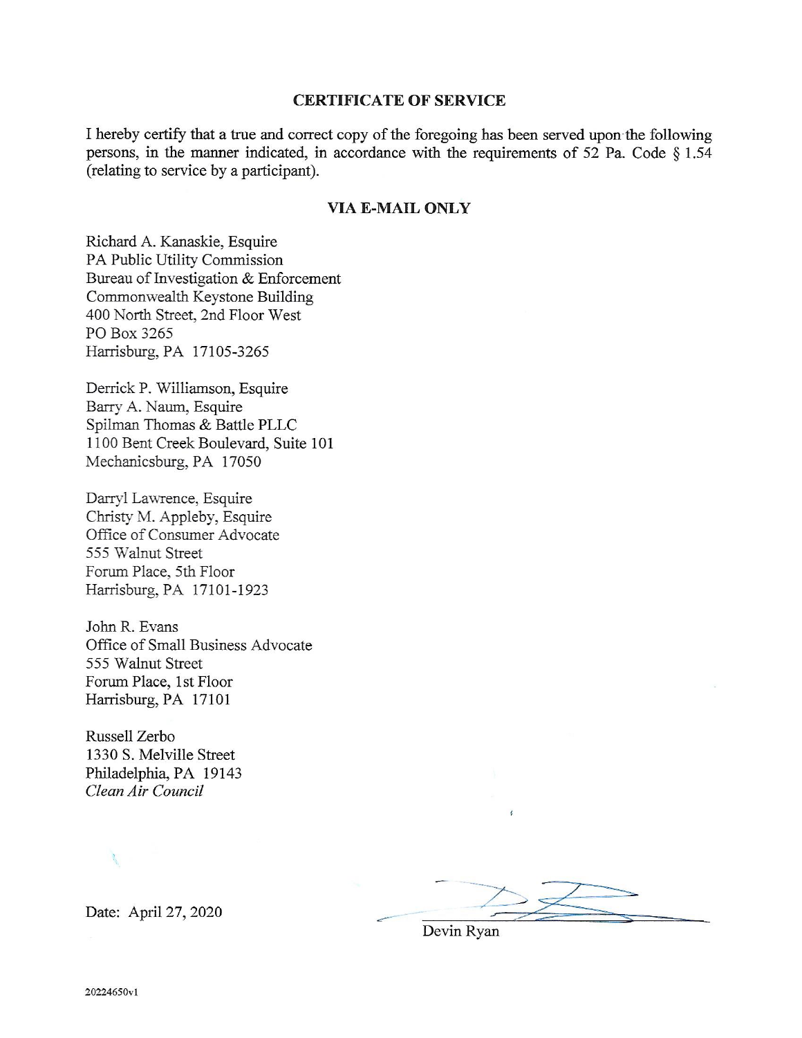#### **CERTIFICATE OF SERVICE**

I hereby certify that a true and correct copy of the foregoing has been served upon the following persons, in the manner indicated, in accordance with the requirements of 52 Pa. Code  $\S 1.54$ (relating to service by a participant).

#### **VIA E-MAIL ONLY**

Richard A. Kanaskie, Esquire PA Public Utility Commission Bureau of Investigation & Enforcement Commonwealth Keystone Building 400 North Street, 2nd Floor West PO Box 3265 Harrisburg, PA 17105-3265

Derrick P. Williamson, Esquire Barry A. Naum, Esquire Spilman Thomas & Battle PLLC 1100 Bent Creek Boulevard, Suite 101 Mechanicsburg, PA 17050

Darryl Lawrence, Esquire Christy M. Appleby, Esquire Office of Consumer Advocate 555 Walnut Street Forum Place, 5th Floor Harrisburg, PA 17101-1923

John R. Evans Office of Small Business Advocate 555 Walnut Street Forum Place, 1st Floor Harrisburg, PA 17101

Russell Zerbo 1330 S. Melville Street Philadelphia, PA 19143 Clean Air Council

Date: April 27, 2020

Devin Ryan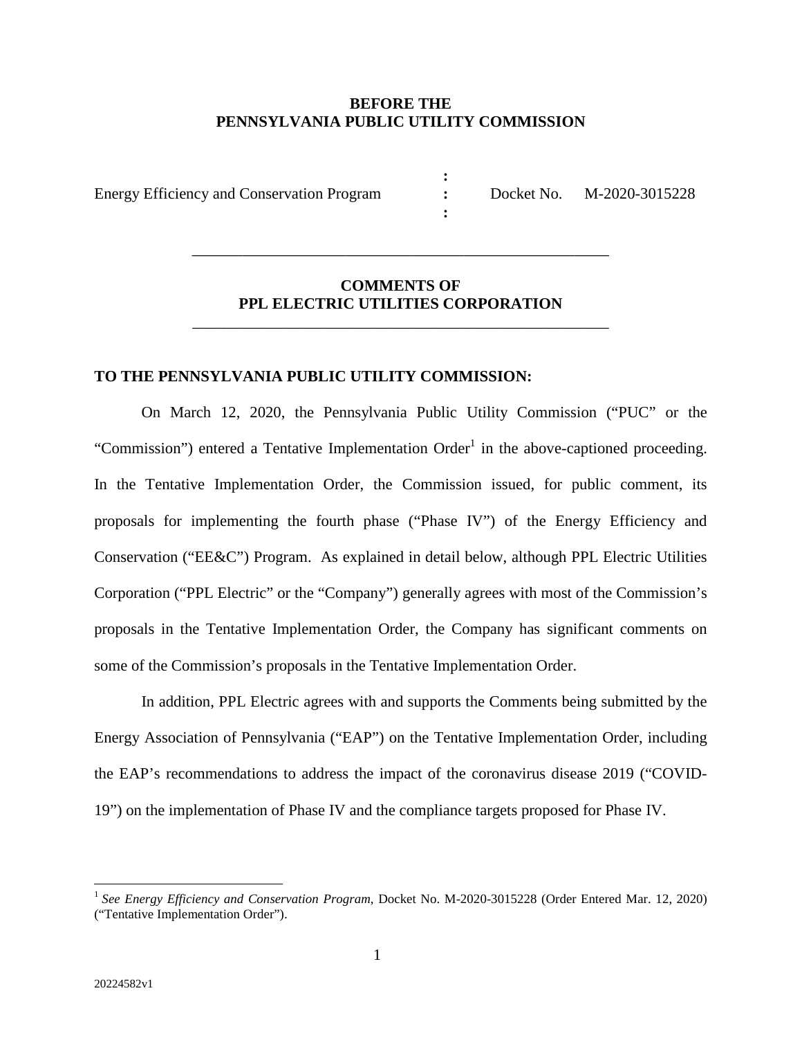#### **BEFORE THE PENNSYLVANIA PUBLIC UTILITY COMMISSION**

**: : :**

Energy Efficiency and Conservation Program

Docket No. M-2020-3015228

# **COMMENTS OF PPL ELECTRIC UTILITIES CORPORATION**

\_\_\_\_\_\_\_\_\_\_\_\_\_\_\_\_\_\_\_\_\_\_\_\_\_\_\_\_\_\_\_\_\_\_\_\_\_\_\_\_\_\_\_\_\_\_\_\_\_\_\_\_\_

\_\_\_\_\_\_\_\_\_\_\_\_\_\_\_\_\_\_\_\_\_\_\_\_\_\_\_\_\_\_\_\_\_\_\_\_\_\_\_\_\_\_\_\_\_\_\_\_\_

# **TO THE PENNSYLVANIA PUBLIC UTILITY COMMISSION:**

On March 12, 2020, the Pennsylvania Public Utility Commission ("PUC" or the "Commission") entered a Tentative Implementation Order<sup>1</sup> in the above-captioned proceeding. In the Tentative Implementation Order, the Commission issued, for public comment, its proposals for implementing the fourth phase ("Phase IV") of the Energy Efficiency and Conservation ("EE&C") Program. As explained in detail below, although PPL Electric Utilities Corporation ("PPL Electric" or the "Company") generally agrees with most of the Commission's proposals in the Tentative Implementation Order, the Company has significant comments on some of the Commission's proposals in the Tentative Implementation Order.

In addition, PPL Electric agrees with and supports the Comments being submitted by the Energy Association of Pennsylvania ("EAP") on the Tentative Implementation Order, including the EAP's recommendations to address the impact of the coronavirus disease 2019 ("COVID-19") on the implementation of Phase IV and the compliance targets proposed for Phase IV.

<sup>&</sup>lt;sup>1</sup> See *Energy Efficiency and Conservation Program*, Docket No. M-2020-3015228 (Order Entered Mar. 12, 2020) ("Tentative Implementation Order").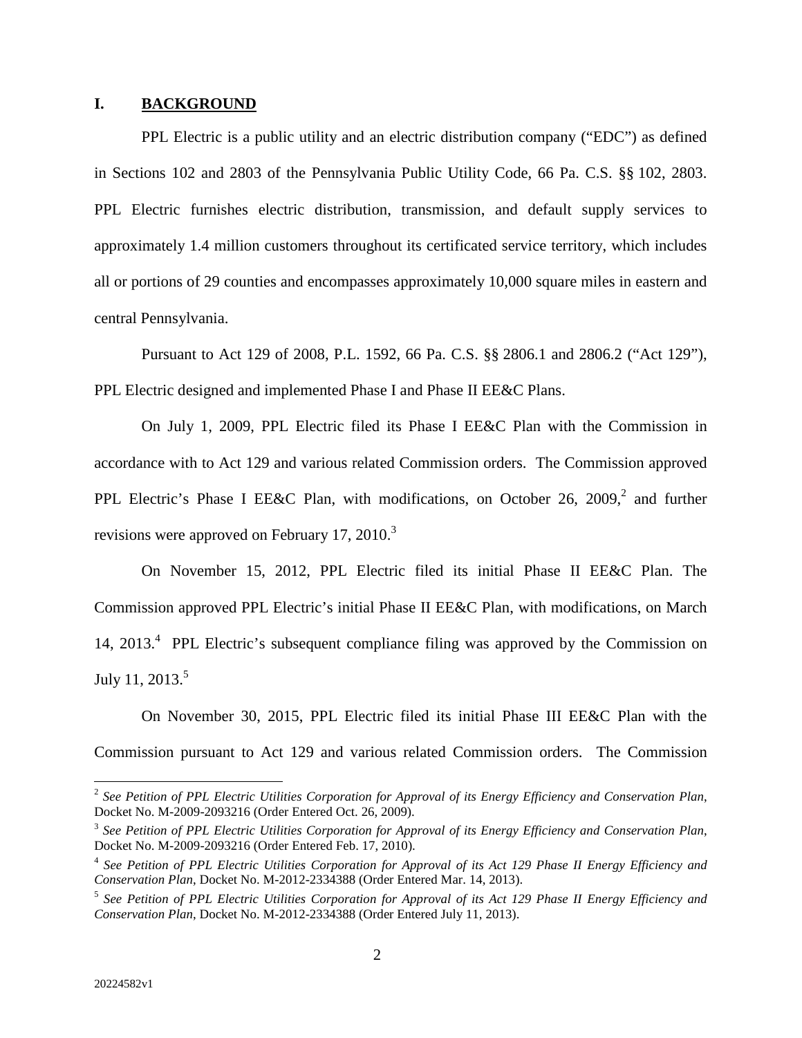#### **I. BACKGROUND**

PPL Electric is a public utility and an electric distribution company ("EDC") as defined in Sections 102 and 2803 of the Pennsylvania Public Utility Code, 66 Pa. C.S. §§ 102, 2803. PPL Electric furnishes electric distribution, transmission, and default supply services to approximately 1.4 million customers throughout its certificated service territory, which includes all or portions of 29 counties and encompasses approximately 10,000 square miles in eastern and central Pennsylvania.

Pursuant to Act 129 of 2008, P.L. 1592, 66 Pa. C.S. §§ 2806.1 and 2806.2 ("Act 129"), PPL Electric designed and implemented Phase I and Phase II EE&C Plans.

On July 1, 2009, PPL Electric filed its Phase I EE&C Plan with the Commission in accordance with to Act 129 and various related Commission orders. The Commission approved PPL Electric's Phase I EE&C Plan, with modifications, on October 26, 2009, 2 and further revisions were approved on February 17, 2010. $3$ 

On November 15, 2012, PPL Electric filed its initial Phase II EE&C Plan. The Commission approved PPL Electric's initial Phase II EE&C Plan, with modifications, on March 14, 2013.<sup>4</sup> PPL Electric's subsequent compliance filing was approved by the Commission on July 11, 2013. $5$ 

On November 30, 2015, PPL Electric filed its initial Phase III EE&C Plan with the Commission pursuant to Act 129 and various related Commission orders. The Commission

<sup>2</sup> *See Petition of PPL Electric Utilities Corporation for Approval of its Energy Efficiency and Conservation Plan*, Docket No. M-2009-2093216 (Order Entered Oct. 26, 2009).

<sup>3</sup> *See Petition of PPL Electric Utilities Corporation for Approval of its Energy Efficiency and Conservation Plan*, Docket No. M-2009-2093216 (Order Entered Feb. 17, 2010).

<sup>4</sup> *See Petition of PPL Electric Utilities Corporation for Approval of its Act 129 Phase II Energy Efficiency and Conservation Plan*, Docket No. M-2012-2334388 (Order Entered Mar. 14, 2013).

<sup>5</sup> *See Petition of PPL Electric Utilities Corporation for Approval of its Act 129 Phase II Energy Efficiency and Conservation Plan*, Docket No. M-2012-2334388 (Order Entered July 11, 2013).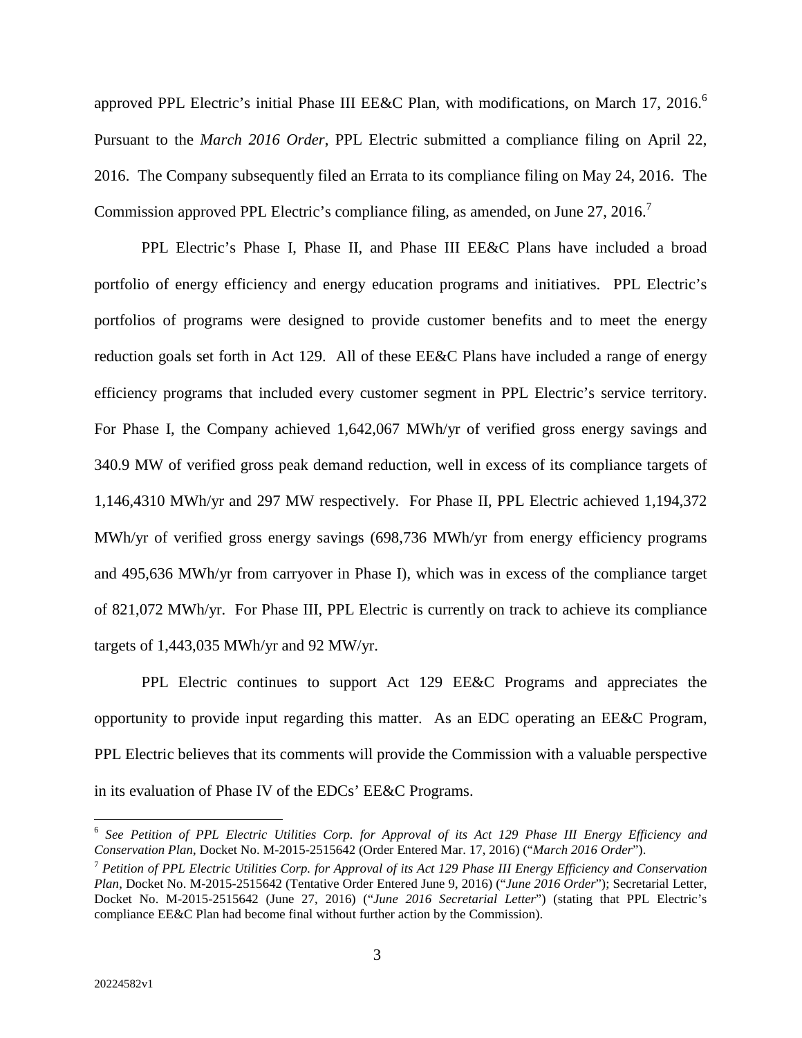approved PPL Electric's initial Phase III EE&C Plan, with modifications, on March 17, 2016.<sup>6</sup> Pursuant to the *March 2016 Order*, PPL Electric submitted a compliance filing on April 22, 2016. The Company subsequently filed an Errata to its compliance filing on May 24, 2016. The Commission approved PPL Electric's compliance filing, as amended, on June 27, 2016.<sup>7</sup>

PPL Electric's Phase I, Phase II, and Phase III EE&C Plans have included a broad portfolio of energy efficiency and energy education programs and initiatives. PPL Electric's portfolios of programs were designed to provide customer benefits and to meet the energy reduction goals set forth in Act 129. All of these EE&C Plans have included a range of energy efficiency programs that included every customer segment in PPL Electric's service territory. For Phase I, the Company achieved 1,642,067 MWh/yr of verified gross energy savings and 340.9 MW of verified gross peak demand reduction, well in excess of its compliance targets of 1,146,4310 MWh/yr and 297 MW respectively. For Phase II, PPL Electric achieved 1,194,372 MWh/yr of verified gross energy savings (698,736 MWh/yr from energy efficiency programs and 495,636 MWh/yr from carryover in Phase I), which was in excess of the compliance target of 821,072 MWh/yr. For Phase III, PPL Electric is currently on track to achieve its compliance targets of 1,443,035 MWh/yr and 92 MW/yr.

PPL Electric continues to support Act 129 EE&C Programs and appreciates the opportunity to provide input regarding this matter. As an EDC operating an EE&C Program, PPL Electric believes that its comments will provide the Commission with a valuable perspective in its evaluation of Phase IV of the EDCs' EE&C Programs.

<sup>6</sup> *See Petition of PPL Electric Utilities Corp. for Approval of its Act 129 Phase III Energy Efficiency and Conservation Plan*, Docket No. M-2015-2515642 (Order Entered Mar. 17, 2016) ("*March 2016 Order*").

<sup>7</sup> *Petition of PPL Electric Utilities Corp. for Approval of its Act 129 Phase III Energy Efficiency and Conservation Plan*, Docket No. M-2015-2515642 (Tentative Order Entered June 9, 2016) ("*June 2016 Order*"); Secretarial Letter, Docket No. M-2015-2515642 (June 27, 2016) ("*June 2016 Secretarial Letter*") (stating that PPL Electric's compliance EE&C Plan had become final without further action by the Commission).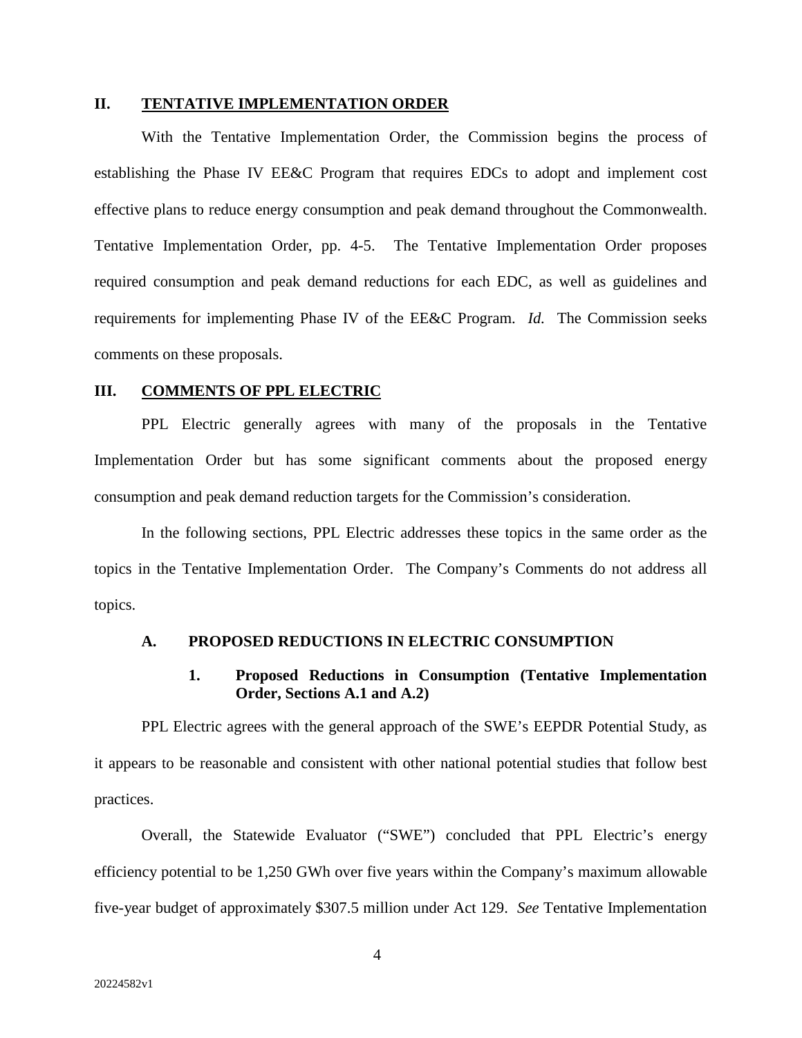#### **II. TENTATIVE IMPLEMENTATION ORDER**

With the Tentative Implementation Order, the Commission begins the process of establishing the Phase IV EE&C Program that requires EDCs to adopt and implement cost effective plans to reduce energy consumption and peak demand throughout the Commonwealth. Tentative Implementation Order, pp. 4-5. The Tentative Implementation Order proposes required consumption and peak demand reductions for each EDC, as well as guidelines and requirements for implementing Phase IV of the EE&C Program. *Id.* The Commission seeks comments on these proposals.

#### **III. COMMENTS OF PPL ELECTRIC**

PPL Electric generally agrees with many of the proposals in the Tentative Implementation Order but has some significant comments about the proposed energy consumption and peak demand reduction targets for the Commission's consideration.

In the following sections, PPL Electric addresses these topics in the same order as the topics in the Tentative Implementation Order. The Company's Comments do not address all topics.

#### **A. PROPOSED REDUCTIONS IN ELECTRIC CONSUMPTION**

# **1. Proposed Reductions in Consumption (Tentative Implementation Order, Sections A.1 and A.2)**

PPL Electric agrees with the general approach of the SWE's EEPDR Potential Study, as it appears to be reasonable and consistent with other national potential studies that follow best practices.

Overall, the Statewide Evaluator ("SWE") concluded that PPL Electric's energy efficiency potential to be 1,250 GWh over five years within the Company's maximum allowable five-year budget of approximately \$307.5 million under Act 129. *See* Tentative Implementation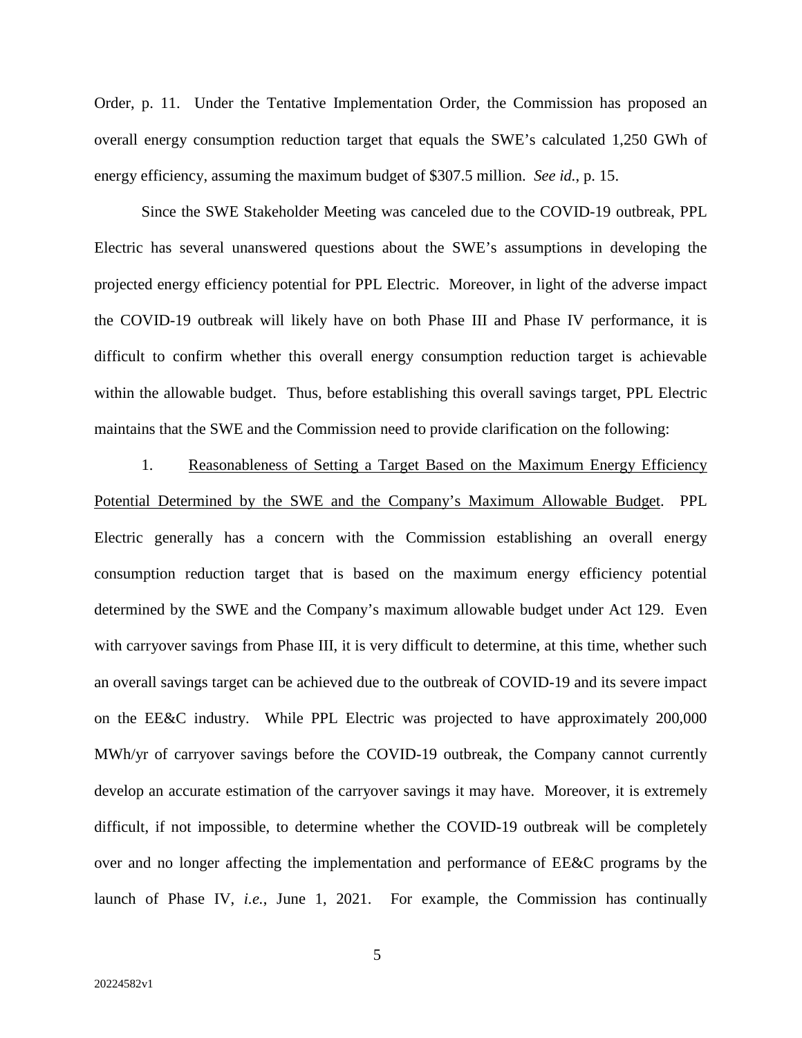Order, p. 11. Under the Tentative Implementation Order, the Commission has proposed an overall energy consumption reduction target that equals the SWE's calculated 1,250 GWh of energy efficiency, assuming the maximum budget of \$307.5 million. *See id.*, p. 15.

Since the SWE Stakeholder Meeting was canceled due to the COVID-19 outbreak, PPL Electric has several unanswered questions about the SWE's assumptions in developing the projected energy efficiency potential for PPL Electric. Moreover, in light of the adverse impact the COVID-19 outbreak will likely have on both Phase III and Phase IV performance, it is difficult to confirm whether this overall energy consumption reduction target is achievable within the allowable budget. Thus, before establishing this overall savings target, PPL Electric maintains that the SWE and the Commission need to provide clarification on the following:

1. Reasonableness of Setting a Target Based on the Maximum Energy Efficiency Potential Determined by the SWE and the Company's Maximum Allowable Budget. PPL Electric generally has a concern with the Commission establishing an overall energy consumption reduction target that is based on the maximum energy efficiency potential determined by the SWE and the Company's maximum allowable budget under Act 129. Even with carryover savings from Phase III, it is very difficult to determine, at this time, whether such an overall savings target can be achieved due to the outbreak of COVID-19 and its severe impact on the EE&C industry. While PPL Electric was projected to have approximately 200,000 MWh/yr of carryover savings before the COVID-19 outbreak, the Company cannot currently develop an accurate estimation of the carryover savings it may have. Moreover, it is extremely difficult, if not impossible, to determine whether the COVID-19 outbreak will be completely over and no longer affecting the implementation and performance of EE&C programs by the launch of Phase IV, *i.e.*, June 1, 2021. For example, the Commission has continually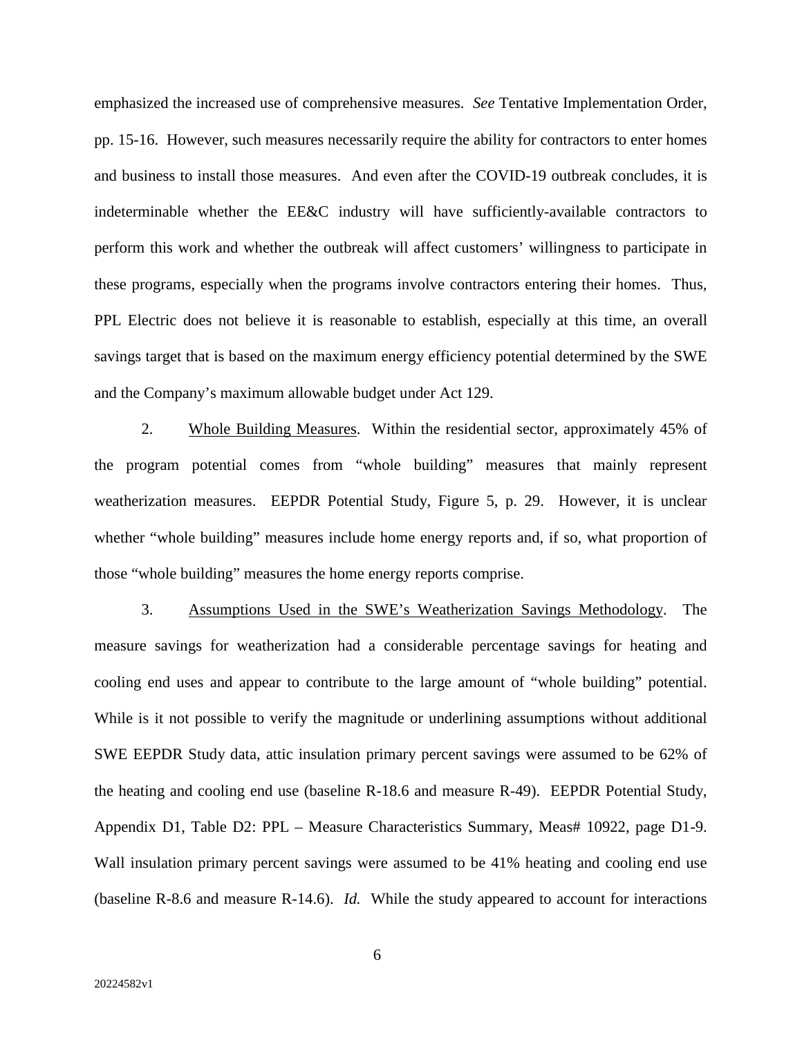emphasized the increased use of comprehensive measures. *See* Tentative Implementation Order, pp. 15-16. However, such measures necessarily require the ability for contractors to enter homes and business to install those measures. And even after the COVID-19 outbreak concludes, it is indeterminable whether the EE&C industry will have sufficiently-available contractors to perform this work and whether the outbreak will affect customers' willingness to participate in these programs, especially when the programs involve contractors entering their homes. Thus, PPL Electric does not believe it is reasonable to establish, especially at this time, an overall savings target that is based on the maximum energy efficiency potential determined by the SWE and the Company's maximum allowable budget under Act 129.

2. Whole Building Measures. Within the residential sector, approximately 45% of the program potential comes from "whole building" measures that mainly represent weatherization measures. EEPDR Potential Study, Figure 5, p. 29. However, it is unclear whether "whole building" measures include home energy reports and, if so, what proportion of those "whole building" measures the home energy reports comprise.

3. Assumptions Used in the SWE's Weatherization Savings Methodology. The measure savings for weatherization had a considerable percentage savings for heating and cooling end uses and appear to contribute to the large amount of "whole building" potential. While is it not possible to verify the magnitude or underlining assumptions without additional SWE EEPDR Study data, attic insulation primary percent savings were assumed to be 62% of the heating and cooling end use (baseline R-18.6 and measure R-49). EEPDR Potential Study, Appendix D1, Table D2: PPL – Measure Characteristics Summary, Meas# 10922, page D1-9. Wall insulation primary percent savings were assumed to be 41% heating and cooling end use (baseline R-8.6 and measure R-14.6). *Id.* While the study appeared to account for interactions

6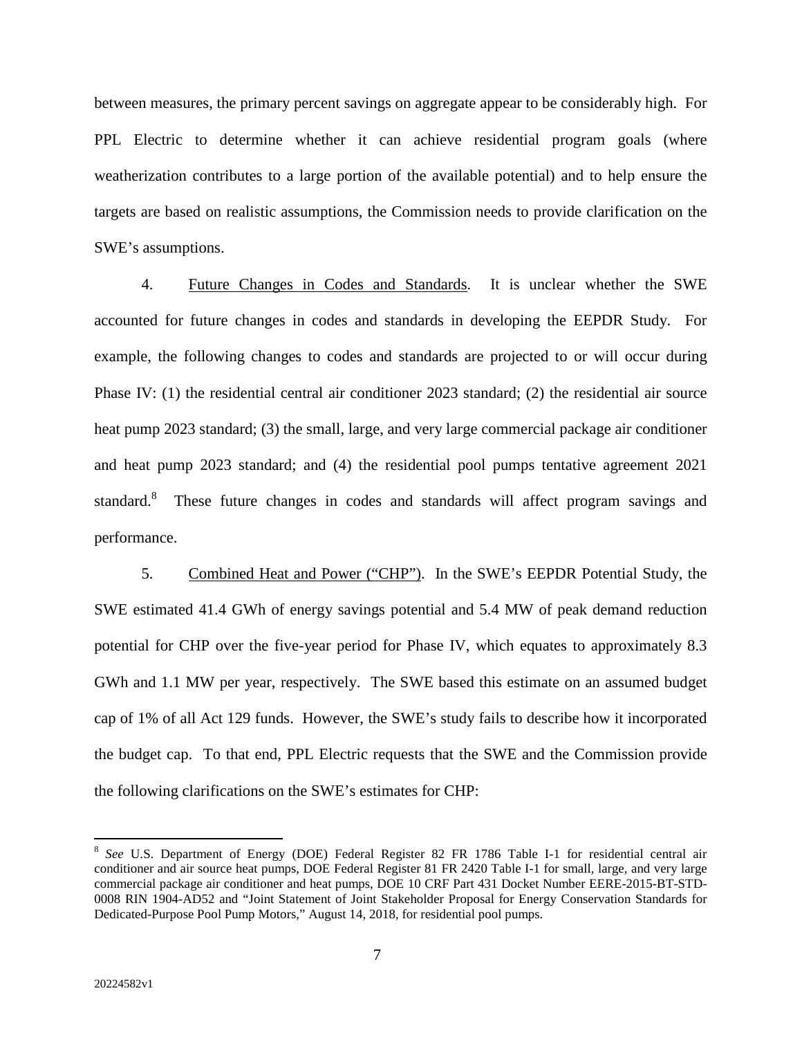between measures, the primary percent savings on aggregate appear to be considerably high. For PPL Electric to determine whether it can achieve residential program goals (where weatherization contributes to a large portion of the available potential) and to help ensure the targets are based on realistic assumptions, the Commission needs to provide clarification on the SWE's assumptions.

4. Future Changes in Codes and Standards. It is unclear whether the SWE accounted for future changes in codes and standards in developing the EEPDR Study. For example, the following changes to codes and standards are projected to or will occur during Phase IV: (1) the residential central air conditioner 2023 standard; (2) the residential air source heat pump 2023 standard; (3) the small, large, and very large commercial package air conditioner and heat pump 2023 standard; and (4) the residential pool pumps tentative agreement 2021 standard.<sup>8</sup> These future changes in codes and standards will affect program savings and performance.

5. Combined Heat and Power ("CHP"). In the SWE's EEPDR Potential Study, the SWE estimated 41.4 GWh of energy savings potential and 5.4 MW of peak demand reduction potential for CHP over the five-year period for Phase IV, which equates to approximately 8.3 GWh and 1.1 MW per year, respectively. The SWE based this estimate on an assumed budget cap of 1% of all Act 129 funds. However, the SWE's study fails to describe how it incorporated the budget cap. To that end, PPL Electric requests that the SWE and the Commission provide the following clarifications on the SWE's estimates for CHP:

7

<sup>8</sup> *See* U.S. Department of Energy (DOE) Federal Register 82 FR 1786 Table I-1 for residential central air conditioner and air source heat pumps, DOE Federal Register 81 FR 2420 Table I-1 for small, large, and very large commercial package air conditioner and heat pumps, DOE 10 CRF Part 431 Docket Number EERE-2015-BT-STD-0008 RIN 1904-AD52 and "Joint Statement of Joint Stakeholder Proposal for Energy Conservation Standards for Dedicated-Purpose Pool Pump Motors," August 14, 2018, for residential pool pumps.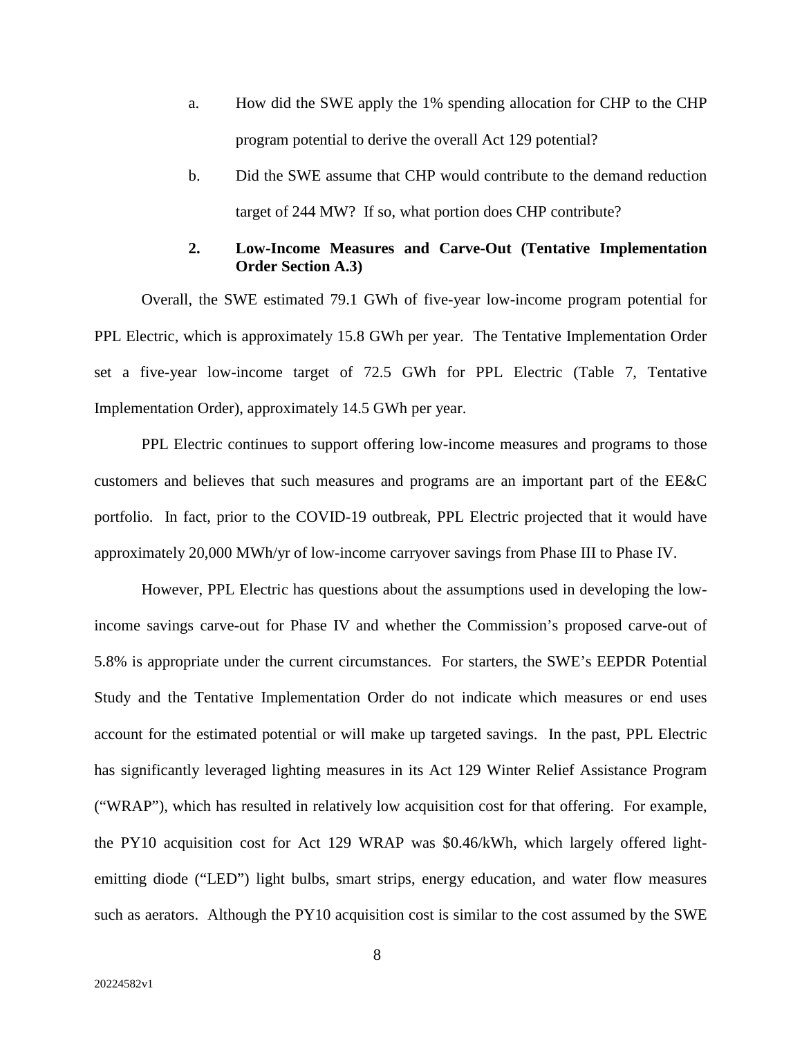- a. How did the SWE apply the 1% spending allocation for CHP to the CHP program potential to derive the overall Act 129 potential?
- b. Did the SWE assume that CHP would contribute to the demand reduction target of 244 MW? If so, what portion does CHP contribute?

#### **2. Low-Income Measures and Carve-Out (Tentative Implementation Order Section A.3)**

Overall, the SWE estimated 79.1 GWh of five-year low-income program potential for PPL Electric, which is approximately 15.8 GWh per year. The Tentative Implementation Order set a five-year low-income target of 72.5 GWh for PPL Electric (Table 7, Tentative Implementation Order), approximately 14.5 GWh per year.

PPL Electric continues to support offering low-income measures and programs to those customers and believes that such measures and programs are an important part of the EE&C portfolio. In fact, prior to the COVID-19 outbreak, PPL Electric projected that it would have approximately 20,000 MWh/yr of low-income carryover savings from Phase III to Phase IV.

However, PPL Electric has questions about the assumptions used in developing the lowincome savings carve-out for Phase IV and whether the Commission's proposed carve-out of 5.8% is appropriate under the current circumstances. For starters, the SWE's EEPDR Potential Study and the Tentative Implementation Order do not indicate which measures or end uses account for the estimated potential or will make up targeted savings. In the past, PPL Electric has significantly leveraged lighting measures in its Act 129 Winter Relief Assistance Program ("WRAP"), which has resulted in relatively low acquisition cost for that offering. For example, the PY10 acquisition cost for Act 129 WRAP was \$0.46/kWh, which largely offered lightemitting diode ("LED") light bulbs, smart strips, energy education, and water flow measures such as aerators. Although the PY10 acquisition cost is similar to the cost assumed by the SWE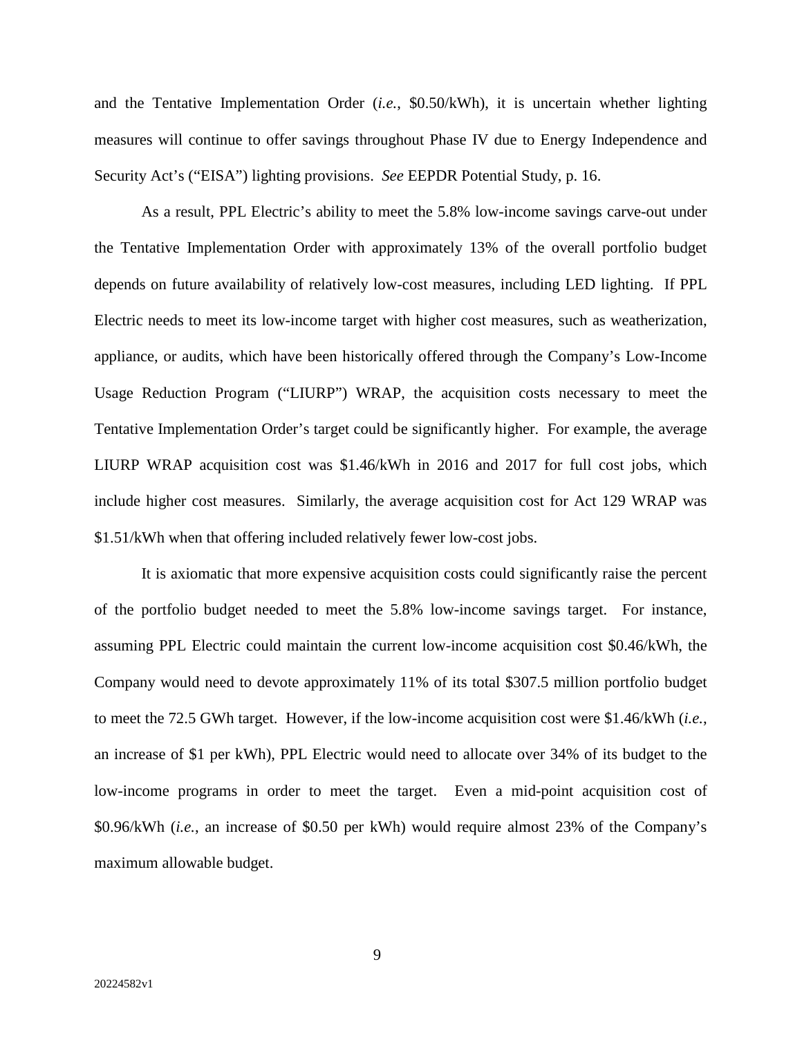and the Tentative Implementation Order (*i.e.*, \$0.50/kWh), it is uncertain whether lighting measures will continue to offer savings throughout Phase IV due to Energy Independence and Security Act's ("EISA") lighting provisions. *See* EEPDR Potential Study, p. 16.

As a result, PPL Electric's ability to meet the 5.8% low-income savings carve-out under the Tentative Implementation Order with approximately 13% of the overall portfolio budget depends on future availability of relatively low-cost measures, including LED lighting. If PPL Electric needs to meet its low-income target with higher cost measures, such as weatherization, appliance, or audits, which have been historically offered through the Company's Low-Income Usage Reduction Program ("LIURP") WRAP, the acquisition costs necessary to meet the Tentative Implementation Order's target could be significantly higher. For example, the average LIURP WRAP acquisition cost was \$1.46/kWh in 2016 and 2017 for full cost jobs, which include higher cost measures. Similarly, the average acquisition cost for Act 129 WRAP was \$1.51/kWh when that offering included relatively fewer low-cost jobs.

It is axiomatic that more expensive acquisition costs could significantly raise the percent of the portfolio budget needed to meet the 5.8% low-income savings target. For instance, assuming PPL Electric could maintain the current low-income acquisition cost \$0.46/kWh, the Company would need to devote approximately 11% of its total \$307.5 million portfolio budget to meet the 72.5 GWh target. However, if the low-income acquisition cost were \$1.46/kWh (*i.e.*, an increase of \$1 per kWh), PPL Electric would need to allocate over 34% of its budget to the low-income programs in order to meet the target. Even a mid-point acquisition cost of \$0.96/kWh (*i.e.*, an increase of \$0.50 per kWh) would require almost 23% of the Company's maximum allowable budget.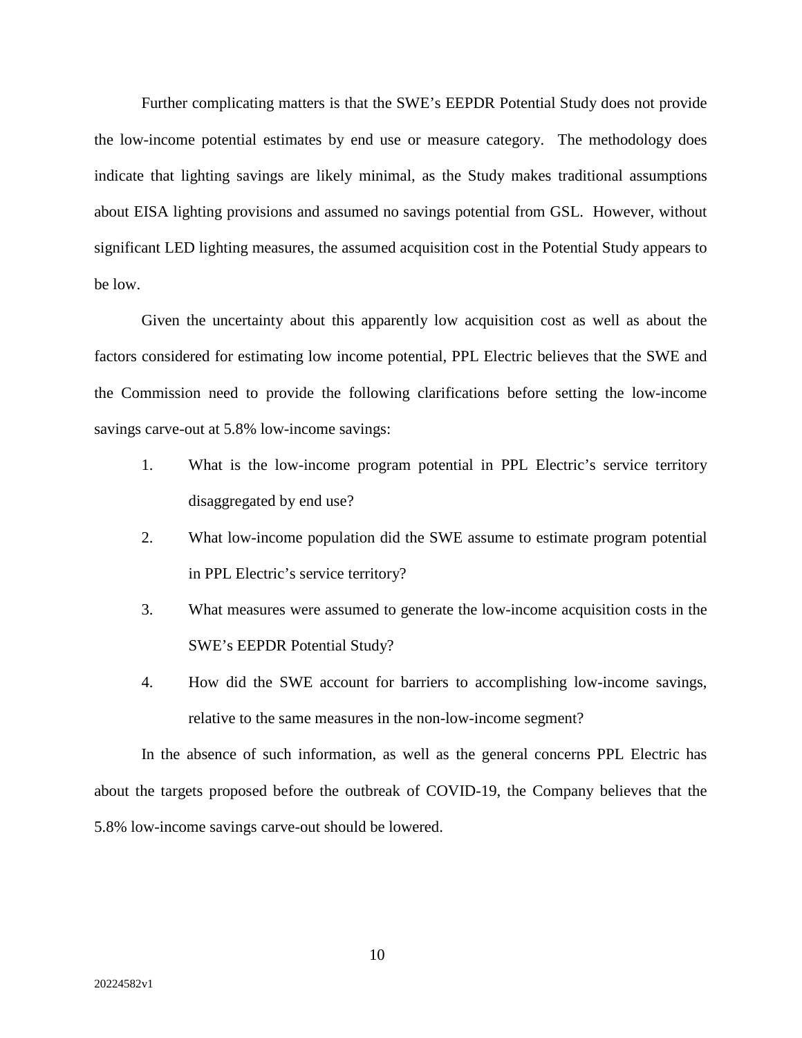Further complicating matters is that the SWE's EEPDR Potential Study does not provide the low-income potential estimates by end use or measure category. The methodology does indicate that lighting savings are likely minimal, as the Study makes traditional assumptions about EISA lighting provisions and assumed no savings potential from GSL. However, without significant LED lighting measures, the assumed acquisition cost in the Potential Study appears to be low.

Given the uncertainty about this apparently low acquisition cost as well as about the factors considered for estimating low income potential, PPL Electric believes that the SWE and the Commission need to provide the following clarifications before setting the low-income savings carve-out at 5.8% low-income savings:

- 1. What is the low-income program potential in PPL Electric's service territory disaggregated by end use?
- 2. What low-income population did the SWE assume to estimate program potential in PPL Electric's service territory?
- 3. What measures were assumed to generate the low-income acquisition costs in the SWE's EEPDR Potential Study?
- 4. How did the SWE account for barriers to accomplishing low-income savings, relative to the same measures in the non-low-income segment?

In the absence of such information, as well as the general concerns PPL Electric has about the targets proposed before the outbreak of COVID-19, the Company believes that the 5.8% low-income savings carve-out should be lowered.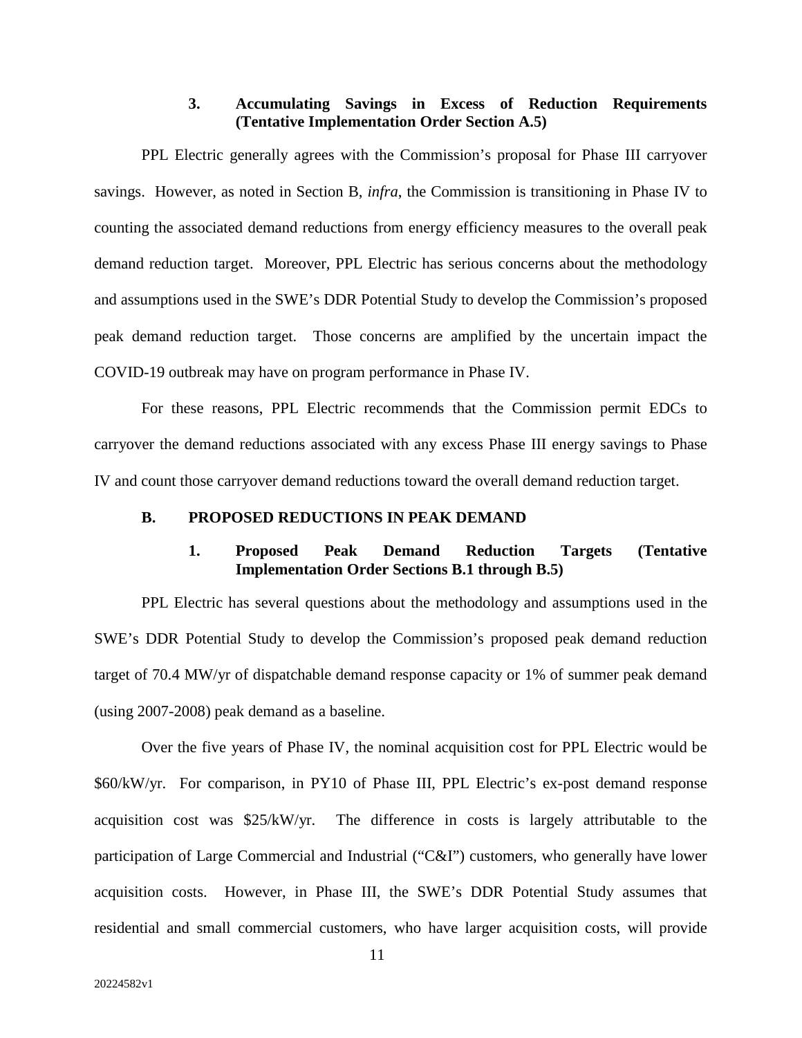# **3. Accumulating Savings in Excess of Reduction Requirements (Tentative Implementation Order Section A.5)**

PPL Electric generally agrees with the Commission's proposal for Phase III carryover savings. However, as noted in Section B, *infra*, the Commission is transitioning in Phase IV to counting the associated demand reductions from energy efficiency measures to the overall peak demand reduction target. Moreover, PPL Electric has serious concerns about the methodology and assumptions used in the SWE's DDR Potential Study to develop the Commission's proposed peak demand reduction target. Those concerns are amplified by the uncertain impact the COVID-19 outbreak may have on program performance in Phase IV.

For these reasons, PPL Electric recommends that the Commission permit EDCs to carryover the demand reductions associated with any excess Phase III energy savings to Phase IV and count those carryover demand reductions toward the overall demand reduction target.

#### **B. PROPOSED REDUCTIONS IN PEAK DEMAND**

#### **1. Proposed Peak Demand Reduction Targets (Tentative Implementation Order Sections B.1 through B.5)**

PPL Electric has several questions about the methodology and assumptions used in the SWE's DDR Potential Study to develop the Commission's proposed peak demand reduction target of 70.4 MW/yr of dispatchable demand response capacity or 1% of summer peak demand (using 2007-2008) peak demand as a baseline.

Over the five years of Phase IV, the nominal acquisition cost for PPL Electric would be \$60/kW/yr. For comparison, in PY10 of Phase III, PPL Electric's ex-post demand response acquisition cost was \$25/kW/yr. The difference in costs is largely attributable to the participation of Large Commercial and Industrial ("C&I") customers, who generally have lower acquisition costs. However, in Phase III, the SWE's DDR Potential Study assumes that residential and small commercial customers, who have larger acquisition costs, will provide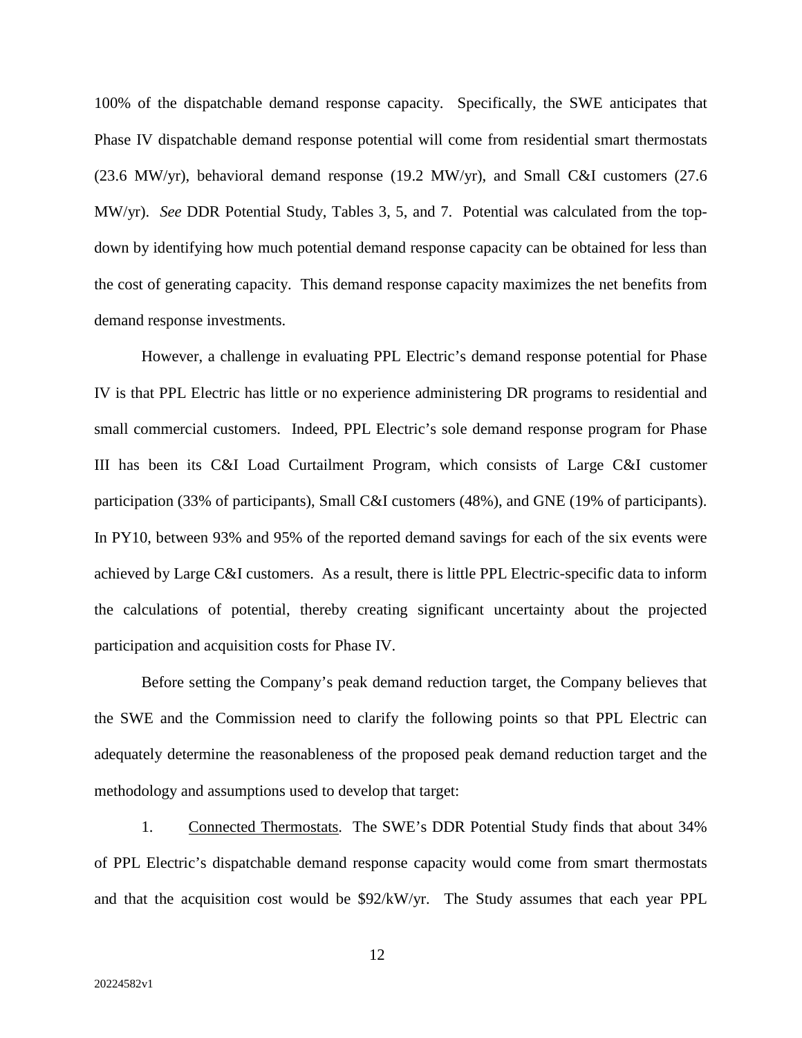100% of the dispatchable demand response capacity. Specifically, the SWE anticipates that Phase IV dispatchable demand response potential will come from residential smart thermostats (23.6 MW/yr), behavioral demand response (19.2 MW/yr), and Small C&I customers (27.6 MW/yr). *See* DDR Potential Study, Tables 3, 5, and 7. Potential was calculated from the topdown by identifying how much potential demand response capacity can be obtained for less than the cost of generating capacity. This demand response capacity maximizes the net benefits from demand response investments.

However, a challenge in evaluating PPL Electric's demand response potential for Phase IV is that PPL Electric has little or no experience administering DR programs to residential and small commercial customers. Indeed, PPL Electric's sole demand response program for Phase III has been its C&I Load Curtailment Program, which consists of Large C&I customer participation (33% of participants), Small C&I customers (48%), and GNE (19% of participants). In PY10, between 93% and 95% of the reported demand savings for each of the six events were achieved by Large C&I customers. As a result, there is little PPL Electric-specific data to inform the calculations of potential, thereby creating significant uncertainty about the projected participation and acquisition costs for Phase IV.

Before setting the Company's peak demand reduction target, the Company believes that the SWE and the Commission need to clarify the following points so that PPL Electric can adequately determine the reasonableness of the proposed peak demand reduction target and the methodology and assumptions used to develop that target:

1. Connected Thermostats. The SWE's DDR Potential Study finds that about 34% of PPL Electric's dispatchable demand response capacity would come from smart thermostats and that the acquisition cost would be \$92/kW/yr. The Study assumes that each year PPL

12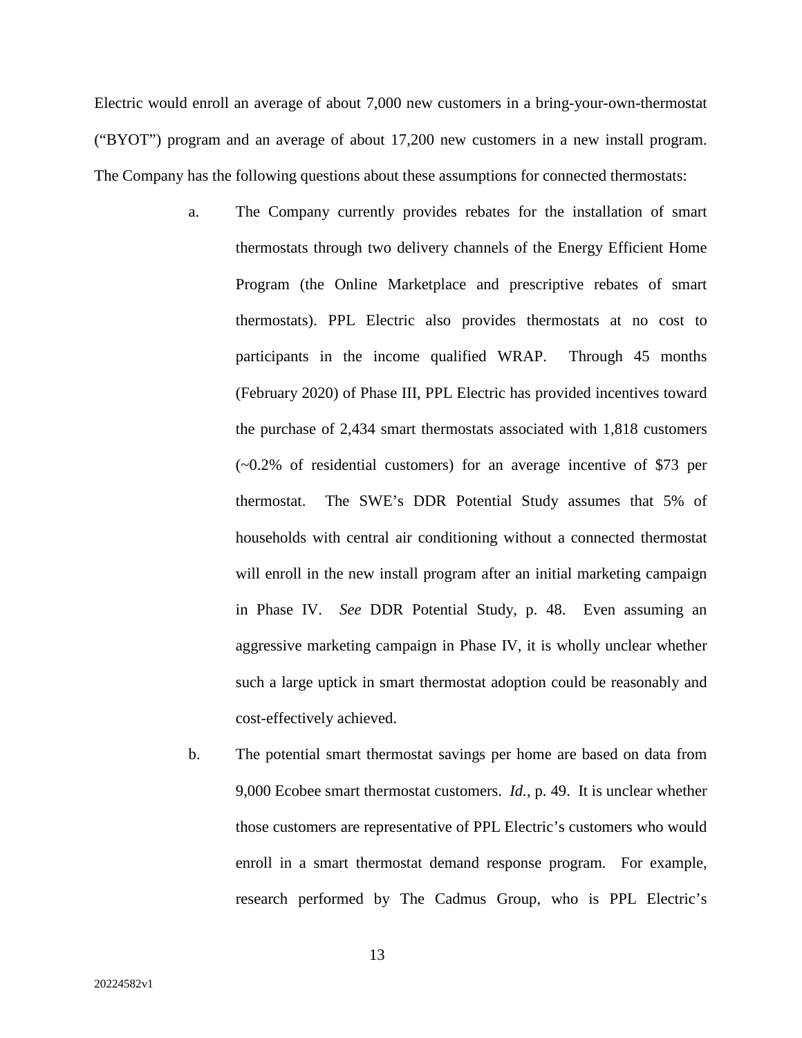Electric would enroll an average of about 7,000 new customers in a bring-your-own-thermostat ("BYOT") program and an average of about 17,200 new customers in a new install program. The Company has the following questions about these assumptions for connected thermostats:

- a. The Company currently provides rebates for the installation of smart thermostats through two delivery channels of the Energy Efficient Home Program (the Online Marketplace and prescriptive rebates of smart thermostats). PPL Electric also provides thermostats at no cost to participants in the income qualified WRAP. Through 45 months (February 2020) of Phase III, PPL Electric has provided incentives toward the purchase of 2,434 smart thermostats associated with 1,818 customers (~0.2% of residential customers) for an average incentive of \$73 per thermostat. The SWE's DDR Potential Study assumes that 5% of households with central air conditioning without a connected thermostat will enroll in the new install program after an initial marketing campaign in Phase IV. *See* DDR Potential Study, p. 48. Even assuming an aggressive marketing campaign in Phase IV, it is wholly unclear whether such a large uptick in smart thermostat adoption could be reasonably and cost-effectively achieved.
- b. The potential smart thermostat savings per home are based on data from 9,000 Ecobee smart thermostat customers. *Id.*, p. 49. It is unclear whether those customers are representative of PPL Electric's customers who would enroll in a smart thermostat demand response program. For example, research performed by The Cadmus Group, who is PPL Electric's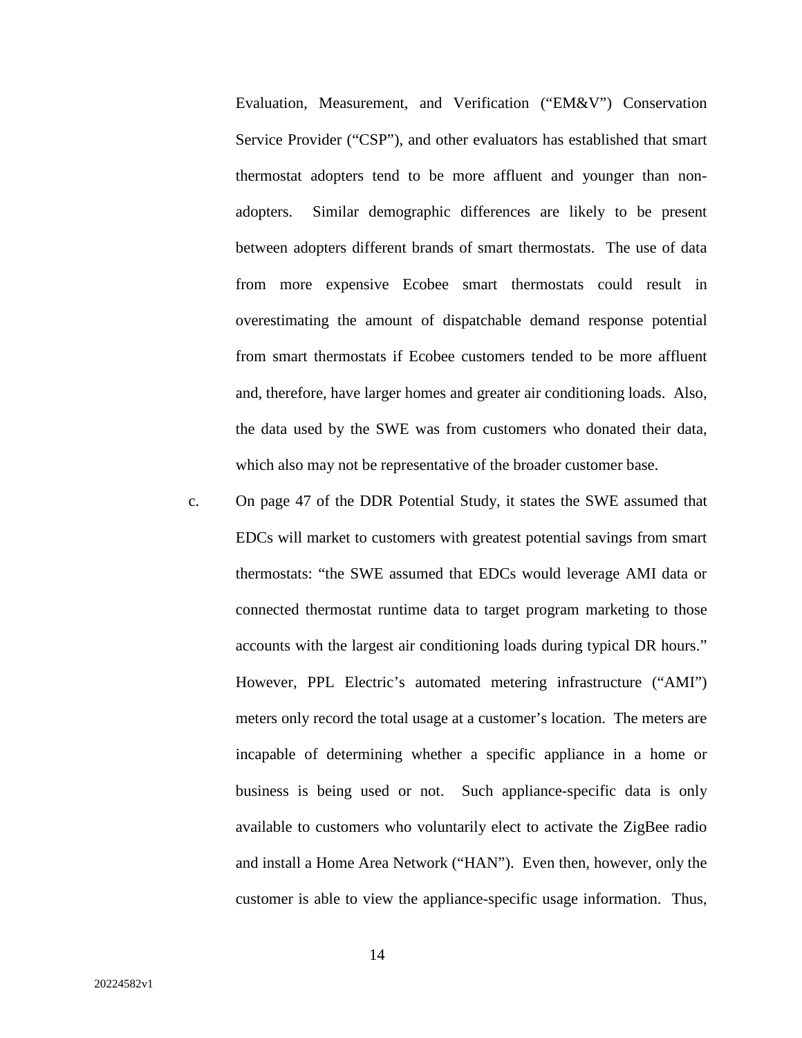Evaluation, Measurement, and Verification ("EM&V") Conservation Service Provider ("CSP"), and other evaluators has established that smart thermostat adopters tend to be more affluent and younger than nonadopters. Similar demographic differences are likely to be present between adopters different brands of smart thermostats. The use of data from more expensive Ecobee smart thermostats could result in overestimating the amount of dispatchable demand response potential from smart thermostats if Ecobee customers tended to be more affluent and, therefore, have larger homes and greater air conditioning loads. Also, the data used by the SWE was from customers who donated their data, which also may not be representative of the broader customer base.

c. On page 47 of the DDR Potential Study, it states the SWE assumed that EDCs will market to customers with greatest potential savings from smart thermostats: "the SWE assumed that EDCs would leverage AMI data or connected thermostat runtime data to target program marketing to those accounts with the largest air conditioning loads during typical DR hours." However, PPL Electric's automated metering infrastructure ("AMI") meters only record the total usage at a customer's location. The meters are incapable of determining whether a specific appliance in a home or business is being used or not. Such appliance-specific data is only available to customers who voluntarily elect to activate the ZigBee radio and install a Home Area Network ("HAN"). Even then, however, only the customer is able to view the appliance-specific usage information. Thus,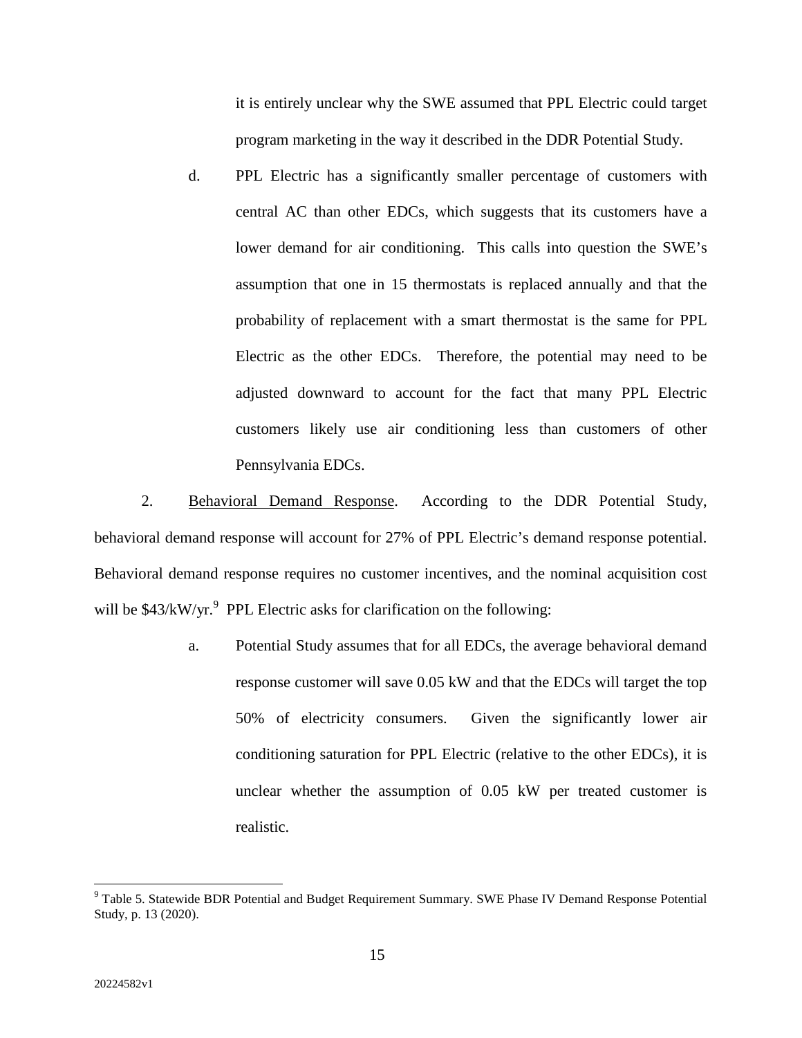it is entirely unclear why the SWE assumed that PPL Electric could target program marketing in the way it described in the DDR Potential Study.

d. PPL Electric has a significantly smaller percentage of customers with central AC than other EDCs, which suggests that its customers have a lower demand for air conditioning. This calls into question the SWE's assumption that one in 15 thermostats is replaced annually and that the probability of replacement with a smart thermostat is the same for PPL Electric as the other EDCs. Therefore, the potential may need to be adjusted downward to account for the fact that many PPL Electric customers likely use air conditioning less than customers of other Pennsylvania EDCs.

2. Behavioral Demand Response. According to the DDR Potential Study, behavioral demand response will account for 27% of PPL Electric's demand response potential. Behavioral demand response requires no customer incentives, and the nominal acquisition cost will be  $$43/kW/yr.<sup>9</sup>$  PPL Electric asks for clarification on the following:

> a. Potential Study assumes that for all EDCs, the average behavioral demand response customer will save 0.05 kW and that the EDCs will target the top 50% of electricity consumers. Given the significantly lower air conditioning saturation for PPL Electric (relative to the other EDCs), it is unclear whether the assumption of 0.05 kW per treated customer is realistic.

15

<sup>&</sup>lt;sup>9</sup> Table 5. Statewide BDR Potential and Budget Requirement Summary. SWE Phase IV Demand Response Potential Study, p. 13 (2020).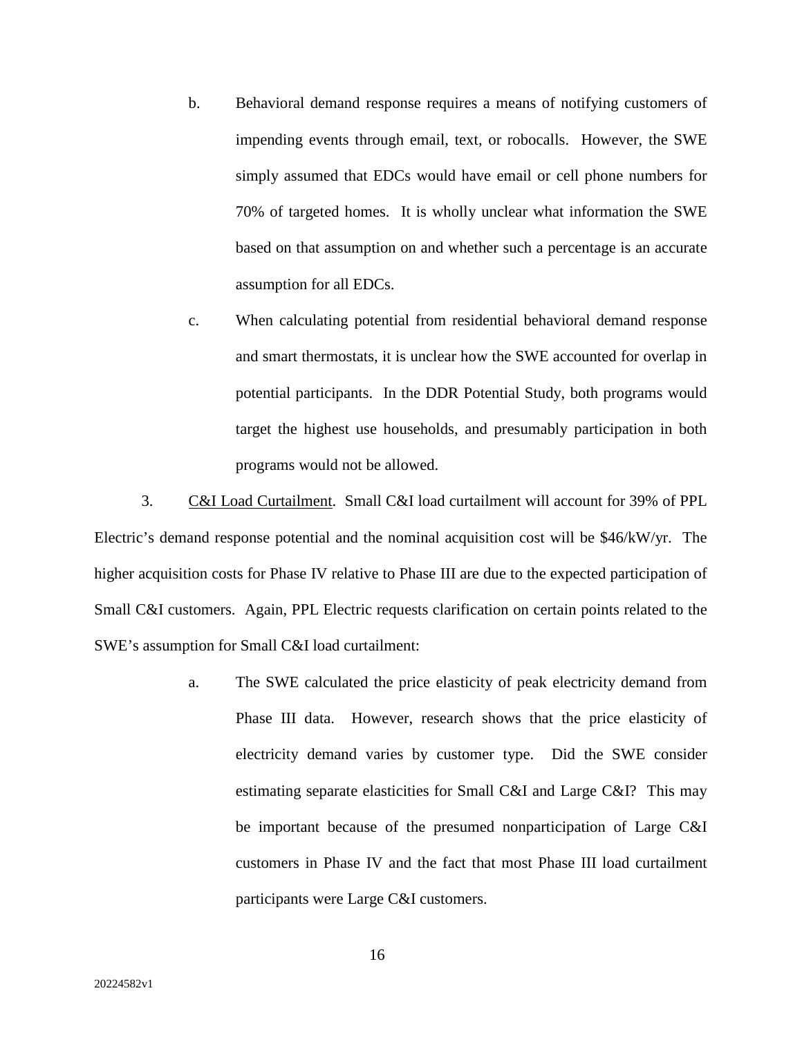- b. Behavioral demand response requires a means of notifying customers of impending events through email, text, or robocalls. However, the SWE simply assumed that EDCs would have email or cell phone numbers for 70% of targeted homes. It is wholly unclear what information the SWE based on that assumption on and whether such a percentage is an accurate assumption for all EDCs.
- c. When calculating potential from residential behavioral demand response and smart thermostats, it is unclear how the SWE accounted for overlap in potential participants. In the DDR Potential Study, both programs would target the highest use households, and presumably participation in both programs would not be allowed.

3. C&I Load Curtailment. Small C&I load curtailment will account for 39% of PPL Electric's demand response potential and the nominal acquisition cost will be \$46/kW/yr. The higher acquisition costs for Phase IV relative to Phase III are due to the expected participation of Small C&I customers. Again, PPL Electric requests clarification on certain points related to the SWE's assumption for Small C&I load curtailment:

> a. The SWE calculated the price elasticity of peak electricity demand from Phase III data. However, research shows that the price elasticity of electricity demand varies by customer type. Did the SWE consider estimating separate elasticities for Small C&I and Large C&I? This may be important because of the presumed nonparticipation of Large C&I customers in Phase IV and the fact that most Phase III load curtailment participants were Large C&I customers.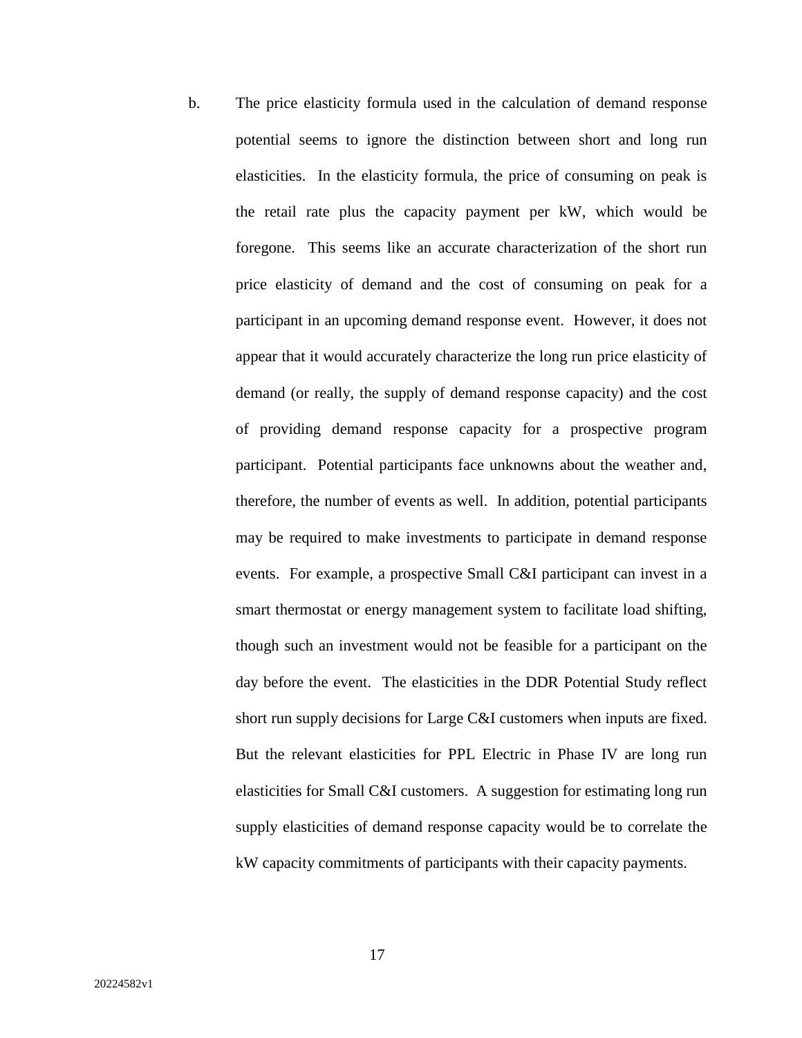b. The price elasticity formula used in the calculation of demand response potential seems to ignore the distinction between short and long run elasticities. In the elasticity formula, the price of consuming on peak is the retail rate plus the capacity payment per kW, which would be foregone. This seems like an accurate characterization of the short run price elasticity of demand and the cost of consuming on peak for a participant in an upcoming demand response event. However, it does not appear that it would accurately characterize the long run price elasticity of demand (or really, the supply of demand response capacity) and the cost of providing demand response capacity for a prospective program participant. Potential participants face unknowns about the weather and, therefore, the number of events as well. In addition, potential participants may be required to make investments to participate in demand response events. For example, a prospective Small C&I participant can invest in a smart thermostat or energy management system to facilitate load shifting, though such an investment would not be feasible for a participant on the day before the event. The elasticities in the DDR Potential Study reflect short run supply decisions for Large C&I customers when inputs are fixed. But the relevant elasticities for PPL Electric in Phase IV are long run elasticities for Small C&I customers. A suggestion for estimating long run supply elasticities of demand response capacity would be to correlate the kW capacity commitments of participants with their capacity payments.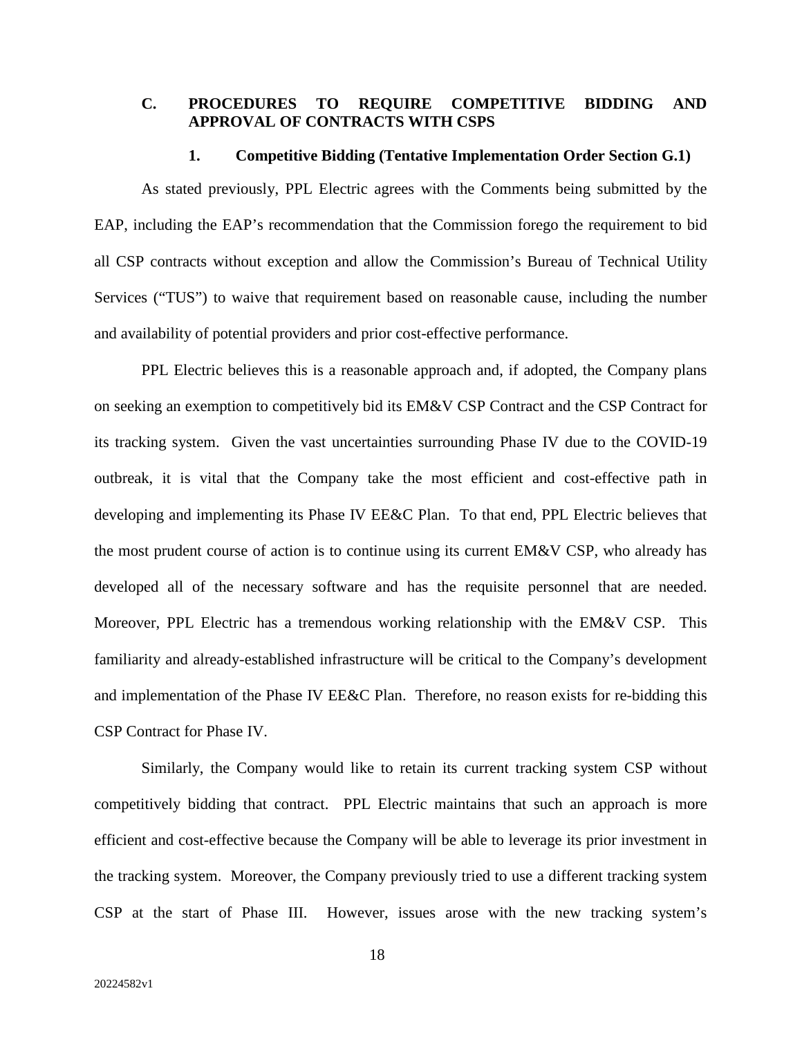# **C. PROCEDURES TO REQUIRE COMPETITIVE BIDDING AND APPROVAL OF CONTRACTS WITH CSPS**

#### **1. Competitive Bidding (Tentative Implementation Order Section G.1)**

As stated previously, PPL Electric agrees with the Comments being submitted by the EAP, including the EAP's recommendation that the Commission forego the requirement to bid all CSP contracts without exception and allow the Commission's Bureau of Technical Utility Services ("TUS") to waive that requirement based on reasonable cause, including the number and availability of potential providers and prior cost-effective performance.

PPL Electric believes this is a reasonable approach and, if adopted, the Company plans on seeking an exemption to competitively bid its EM&V CSP Contract and the CSP Contract for its tracking system. Given the vast uncertainties surrounding Phase IV due to the COVID-19 outbreak, it is vital that the Company take the most efficient and cost-effective path in developing and implementing its Phase IV EE&C Plan. To that end, PPL Electric believes that the most prudent course of action is to continue using its current EM&V CSP, who already has developed all of the necessary software and has the requisite personnel that are needed. Moreover, PPL Electric has a tremendous working relationship with the EM&V CSP. This familiarity and already-established infrastructure will be critical to the Company's development and implementation of the Phase IV EE&C Plan. Therefore, no reason exists for re-bidding this CSP Contract for Phase IV.

Similarly, the Company would like to retain its current tracking system CSP without competitively bidding that contract. PPL Electric maintains that such an approach is more efficient and cost-effective because the Company will be able to leverage its prior investment in the tracking system. Moreover, the Company previously tried to use a different tracking system CSP at the start of Phase III. However, issues arose with the new tracking system's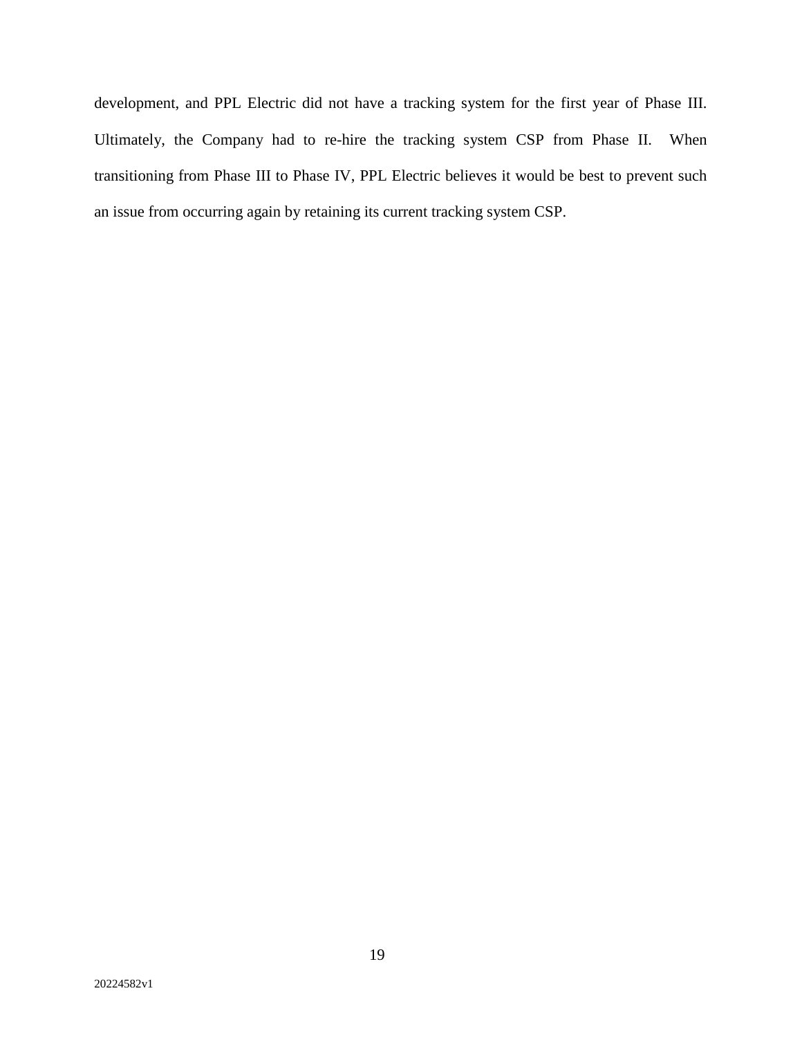development, and PPL Electric did not have a tracking system for the first year of Phase III. Ultimately, the Company had to re-hire the tracking system CSP from Phase II. When transitioning from Phase III to Phase IV, PPL Electric believes it would be best to prevent such an issue from occurring again by retaining its current tracking system CSP.